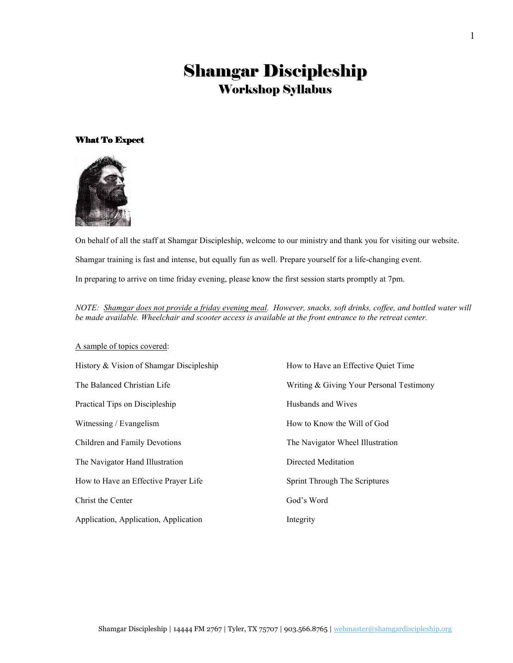# Shamgar Discipleship Workshop Syllabus

## What To Expect



On behalf of all the staff at Shamgar Discipleship, welcome to our ministry and thank you for visiting our website. Shamgar training is fast and intense, but equally fun as well. Prepare yourself for a life-changing event. In preparing to arrive on time friday evening, please know the first session starts promptly at 7pm.

NOTE: Shamgar does not provide a friday evening meal. However, snacks, soft drinks, coffee, and bottled water will be made available. Wheelchair and scooter access is available at the front entrance to the retreat center.

### A sample of topics covered:

| History & Vision of Shamgar Discipleship | How to Have an Effective Quiet Time      |
|------------------------------------------|------------------------------------------|
| The Balanced Christian Life              | Writing & Giving Your Personal Testimony |
| Practical Tips on Discipleship           | Husbands and Wives                       |
| Witnessing / Evangelism                  | How to Know the Will of God              |
| Children and Family Devotions            | The Navigator Wheel Illustration         |
| The Navigator Hand Illustration          | Directed Meditation                      |
| How to Have an Effective Prayer Life     | Sprint Through The Scriptures            |
| Christ the Center                        | God's Word                               |
| Application, Application, Application    | Integrity                                |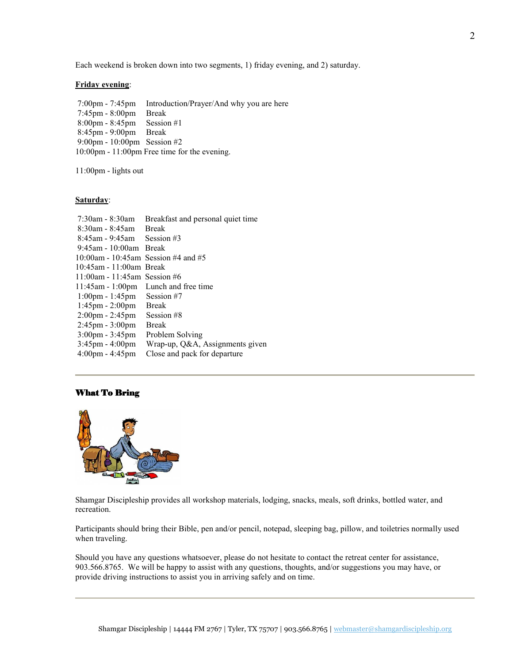## Friday evening:

 7:00pm - 7:45pm Introduction/Prayer/And why you are here 7:45pm - 8:00pm Break 8:00pm - 8:45pm Session #1 8:45pm - 9:00pm Break 9:00pm - 10:00pm Session #2 10:00pm - 11:00pm Free time for the evening.

11:00pm - lights out

## Saturday:

| $7:30$ am - 8:30am                  | Breakfast and personal quiet time |
|-------------------------------------|-----------------------------------|
| $8:30$ am - $8:45$ am               | <b>Break</b>                      |
| 8:45am - 9:45am                     | Session #3                        |
| $9:45$ am - 10:00am Break           |                                   |
| 10:00am - 10:45am Session #4 and #5 |                                   |
| $10:45$ am - 11:00am Break          |                                   |
| 11:00am - 11:45am Session #6        |                                   |
| $11:45$ am - $1:00$ pm              | Lunch and free time               |
| $1:00 \text{pm} - 1:45 \text{pm}$   | Session #7                        |
| $1:45 \text{pm} - 2:00 \text{pm}$   | <b>Break</b>                      |
| $2:00 \text{pm} - 2:45 \text{pm}$   | Session #8                        |
| $2:45 \text{pm} - 3:00 \text{pm}$   | <b>Break</b>                      |
| $3:00 \text{pm} - 3:45 \text{pm}$   | Problem Solving                   |
| $3:45 \text{pm} - 4:00 \text{pm}$   | Wrap-up, Q&A, Assignments given   |
| $4:00 \text{pm} - 4:45 \text{pm}$   | Close and pack for departure      |
|                                     |                                   |

## What To Bring



Shamgar Discipleship provides all workshop materials, lodging, snacks, meals, soft drinks, bottled water, and recreation.

Participants should bring their Bible, pen and/or pencil, notepad, sleeping bag, pillow, and toiletries normally used when traveling.

Should you have any questions whatsoever, please do not hesitate to contact the retreat center for assistance, 903.566.8765. We will be happy to assist with any questions, thoughts, and/or suggestions you may have, or provide driving instructions to assist you in arriving safely and on time.